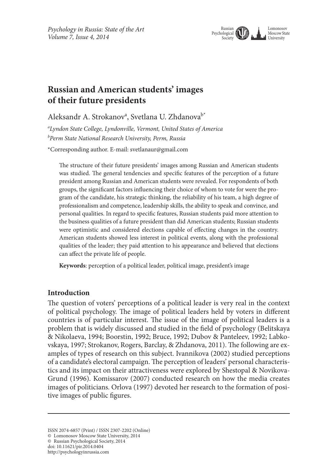

# **Russian and American students' images of their future presidents**

Aleksandr A. Strokanov<sup>a</sup>, Svetlana U. Zhdanova<sup>b\*</sup>

*a Lyndon State College, Lyndonville, Vermont, United States of America b Perm State National Research University, Perm, Russia*

\*Corresponding author. E-mail: svetlanaur@gmail.com

The structure of their future presidents' images among Russian and American students was studied. The general tendencies and specific features of the perception of a future president among Russian and American students were revealed. For respondents of both groups, the significant factors influencing their choice of whom to vote for were the program of the candidate, his strategic thinking, the reliability of his team, a high degree of professionalism and competence, leadership skills, the ability to speak and convince, and personal qualities. In regard to specific features, Russian students paid more attention to the business qualities of a future president than did American students; Russian students were optimistic and considered elections capable of effecting changes in the country. American students showed less interest in political events, along with the professional qualities of the leader; they paid attention to his appearance and believed that elections can affect the private life of people.

**Keywords**: perception of a political leader, political image, president's image

## **Introduction**

The question of voters' perceptions of a political leader is very real in the context of political psychology. The image of political leaders held by voters in different countries is of particular interest. The issue of the image of political leaders is a problem that is widely discussed and studied in the field of psychology (Belitskaya & Nikolaeva, 1994; Boorstin, 1992; Bruce, 1992; Dubov & Panteleev, 1992; Labkovskaya, 1997; Strokanov, Rogers, Barclay, & Zhdanova, 2011). The following are examples of types of research on this subject. Ivannikova (2002) studied perceptions of a candidate's electoral campaign. The perception of leaders' personal characteristics and its impact on their attractiveness were explored by Shestopal & Novikova-Grund (1996). Komissarov (2007) conducted research on how the media creates images of politicians. Orlova (1997) devoted her research to the formation of positive images of public figures.

ISSN 2074-6857 (Print) / ISSN 2307-2202 (Online)

<sup>©</sup> Lomonosov Moscow State University, 2014

<sup>©</sup> Russian Psychological Society, 2014

doi: 10.11621/pir.2014.0404

http://psychologyinrussia.com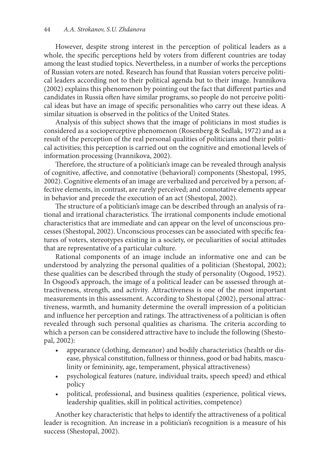However, despite strong interest in the perception of political leaders as a whole, the specific perceptions held by voters from different countries are today among the least studied topics. Nevertheless, in a number of works the perceptions of Russian voters are noted. Research has found that Russian voters perceive political leaders according not to their political agenda but to their image. Ivannikova (2002) explains this phenomenon by pointing out the fact that different parties and candidates in Russia often have similar programs, so people do not perceive political ideas but have an image of specific personalities who carry out these ideas. A similar situation is observed in the politics of the United States.

Analysis of this subject shows that the image of politicians in most studies is considered as a socioperceptive phenomenon (Rosenberg & Sedlak, 1972) and as a result of the perception of the real personal qualities of politicians and their political activities; this perception is carried out on the cognitive and emotional levels of information processing (Ivannikova, 2002).

Therefore, the structure of a politician's image can be revealed through analysis of cognitive, affective, and connotative (behavioral) components (Shestopal, 1995, 2002). Cognitive elements of an image are verbalized and perceived by a person; affective elements, in contrast, are rarely perceived; and connotative elements appear in behavior and precede the execution of an act (Shestopal, 2002).

The structure of a politician's image can be described through an analysis of rational and irrational characteristics. The irrational components include emotional characteristics that are immediate and can appear on the level of unconscious processes (Shestopal, 2002). Unconscious processes can be associated with specific features of voters, stereotypes existing in a society, or peculiarities of social attitudes that are representative of a particular culture.

Rational components of an image include an informative one and can be understood by analyzing the personal qualities of a politician (Shestopal, 2002); these qualities can be described through the study of personality (Osgood, 1952). In Osgood's approach, the image of a political leader can be assessed through attractiveness, strength, and activity. Attractiveness is one of the most important measurements in this assessment. According to Shestopal (2002), personal attractiveness, warmth, and humanity determine the overall impression of a politician and influence her perception and ratings. The attractiveness of a politician is often revealed through such personal qualities as charisma. The criteria according to which a person can be considered attractive have to include the following (Shestopal, 2002):

- appearance (clothing, demeanor) and bodily characteristics (health or disease, physical constitution, fullness or thinness, good or bad habits, masculinity or femininity, age, temperament, physical attractiveness)
- • psychological features (nature, individual traits, speech speed) and ethical policy
- political, professional, and business qualities (experience, political views, leadership qualities, skill in political activities, competence)

Another key characteristic that helps to identify the attractiveness of a political leader is recognition. An increase in a politician's recognition is a measure of his success (Shestopal, 2002).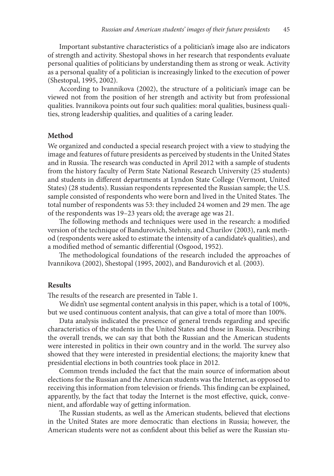Important substantive characteristics of a politician's image also are indicators of strength and activity. Shestopal shows in her research that respondents evaluate personal qualities of politicians by understanding them as strong or weak. Activity as a personal quality of a politician is increasingly linked to the execution of power (Shestopal, 1995, 2002).

According to Ivannikova (2002), the structure of a politician's image can be viewed not from the position of her strength and activity but from professional qualities. Ivannikova points out four such qualities: moral qualities, business qualities, strong leadership qualities, and qualities of a caring leader.

#### **Method**

We organized and conducted a special research project with a view to studying the image and features of future presidents as perceived by students in the United States and in Russia. The research was conducted in April 2012 with a sample of students from the history faculty of Perm State National Research University (25 students) and students in different departments at Lyndon State College (Vermont, United States) (28 students). Russian respondents represented the Russian sample; the U.S. sample consisted of respondents who were born and lived in the United States. The total number of respondents was 53: they included 24 women and 29 men. The age of the respondents was 19–23 years old; the average age was 21.

The following methods and techniques were used in the research: a modified version of the technique of Bandurovich, Stehniy, and Churilov (2003), rank method (respondents were asked to estimate the intensity of a candidate's qualities), and a modified method of semantic differential (Osgood, 1952).

The methodological foundations of the research included the approaches of Ivannikova (2002), Shestopal (1995, 2002), and Banduroviсh et al. (2003).

#### **Results**

The results of the research are presented in Table 1.

We didn't use segmental content analysis in this paper, which is a total of 100%, but we used continuous content analysis, that can give a total of more than 100%.

Data analysis indicated the presence of general trends regarding and specific characteristics of the students in the United States and those in Russia. Describing the overall trends, we can say that both the Russian and the American students were interested in politics in their own country and in the world. The survey also showed that they were interested in presidential elections; the majority knew that presidential elections in both countries took place in 2012.

Common trends included the fact that the main source of information about elections for the Russian and the American students was the Internet, as opposed to receiving this information from television or friends. This finding can be explained, apparently, by the fact that today the Internet is the most effective, quick, convenient, and affordable way of getting information.

The Russian students, as well as the American students, believed that elections in the United States are more democratic than elections in Russia; however, the American students were not as confident about this belief as were the Russian stu-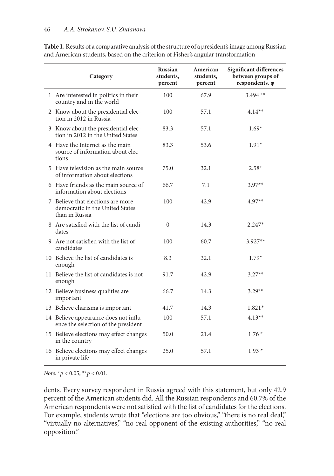| Category                                                                               | <b>Russian</b><br>students,<br>percent | American<br>students,<br>percent | <b>Significant differences</b><br>between groups of<br>respondents, φ |
|----------------------------------------------------------------------------------------|----------------------------------------|----------------------------------|-----------------------------------------------------------------------|
| 1 Are interested in politics in their<br>country and in the world                      | 100                                    | 67.9                             | $3.494$ **                                                            |
| 2 Know about the presidential elec-<br>tion in 2012 in Russia                          | 100                                    | 57.1                             | $4.14**$                                                              |
| 3 Know about the presidential elec-<br>tion in 2012 in the United States               | 83.3                                   | 57.1                             | $1.69*$                                                               |
| 4 Have the Internet as the main<br>source of information about elec-<br>tions          | 83.3                                   | 53.6                             | $1.91*$                                                               |
| 5 Have television as the main source<br>of information about elections                 | 75.0                                   | 32.1                             | $2.58*$                                                               |
| 6 Have friends as the main source of<br>information about elections                    | 66.7                                   | 7.1                              | $3.97**$                                                              |
| 7 Believe that elections are more<br>democratic in the United States<br>than in Russia | 100                                    | 42.9                             | $4.97**$                                                              |
| 8 Are satisfied with the list of candi-<br>dates                                       | $\Omega$                               | 14.3                             | $2.247*$                                                              |
| 9 Are not satisfied with the list of<br>candidates                                     | 100                                    | 60.7                             | $3.927**$                                                             |
| 10 Believe the list of candidates is<br>enough                                         | 8.3                                    | 32.1                             | $1.79*$                                                               |
| 11 Believe the list of candidates is not<br>enough                                     | 91.7                                   | 42.9                             | $3.27**$                                                              |
| 12 Believe business qualities are<br>important                                         | 66.7                                   | 14.3                             | $3.29**$                                                              |
| 13 Believe charisma is important                                                       | 41.7                                   | 14.3                             | $1.821*$                                                              |
| 14 Believe appearance does not influ-<br>ence the selection of the president           | 100                                    | 57.1                             | $4.13**$                                                              |
| 15 Believe elections may effect changes<br>in the country                              | 50.0                                   | 21.4                             | $1.76*$                                                               |
| 16 Believe elections may effect changes<br>in private life                             | 25.0                                   | 57.1                             | $1.93*$                                                               |

**Table 1.** Results of a comparative analysis of the structure of a president's image among Russian and American students, based on the criterion of Fisher's angular transformation

*Note.* \**p* < 0.05; \*\**p* < 0.01.

dents. Every survey respondent in Russia agreed with this statement, but only 42.9 percent of the American students did. All the Russian respondents and 60.7% of the American respondents were not satisfied with the list of candidates for the elections. For example, students wrote that "elections are too obvious," "there is no real deal," "virtually no alternatives," "no real opponent of the existing authorities," "no real opposition."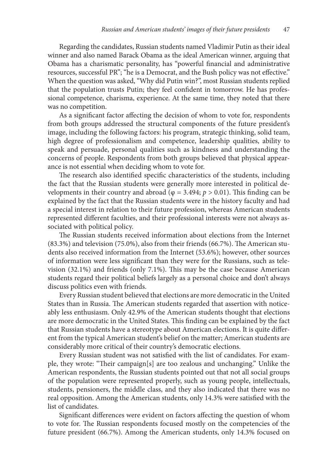Regarding the candidates, Russian students named Vladimir Putin as their ideal winner and also named Barack Obama as the ideal American winner, arguing that Obama has a charismatic personality, has "powerful financial and administrative resources, successful PR"; "he is a Democrat, and the Bush policy was not effective." When the question was asked, "Why did Putin win?", most Russian students replied that the population trusts Putin; they feel confident in tomorrow. He has professional competence, charisma, experience. At the same time, they noted that there was no competition.

As a significant factor affecting the decision of whom to vote for, respondents from both groups addressed the structural components of the future president's image, including the following factors: his program, strategic thinking, solid team, high degree of professionalism and competence, leadership qualities, ability to speak and persuade, personal qualities such as kindness and understanding the concerns of people. Respondents from both groups believed that physical appearance is not essential when deciding whom to vote for.

The research also identified specific characteristics of the students, including the fact that the Russian students were generally more interested in political developments in their country and abroad ( $φ = 3.494$ ;  $p > 0.01$ ). This finding can be explained by the fact that the Russian students were in the history faculty and had a special interest in relation to their future profession, whereas American students represented different faculties, and their professional interests were not always associated with political policy.

The Russian students received information about elections from the Internet (83.3%) and television (75.0%), also from their friends (66.7%). The American students also received information from the Internet (53.6%); however, other sources of information were less significant than they were for the Russians, such as television (32.1%) and friends (only 7.1%). This may be the case because American students regard their political beliefs largely as a personal choice and don't always discuss politics even with friends.

Every Russian student believed that elections are more democratic in the United States than in Russia. The American students regarded that assertion with noticeably less enthusiasm. Only 42.9% of the American students thought that elections are more democratic in the United States. This finding can be explained by the fact that Russian students have a stereotype about American elections. It is quite different from the typical American student's belief on the matter; American students are considerably more critical of their country's democratic elections.

Every Russian student was not satisfied with the list of candidates. For example, they wrote: "Their campaign[s] are too zealous and unchanging." Unlike the American respondents, the Russian students pointed out that not all social groups of the population were represented properly, such as young people, intellectuals, students, pensioners, the middle class, and they also indicated that there was no real opposition. Among the American students, only 14.3% were satisfied with the list of candidates.

Significant differences were evident on factors affecting the question of whom to vote for. The Russian respondents focused mostly on the competencies of the future president (66.7%). Among the American students, only 14.3% focused on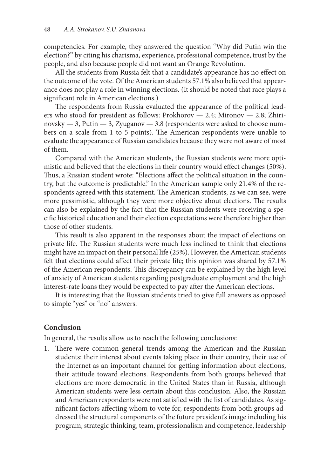competencies. For example, they answered the question "Why did Putin win the election?" by citing his charisma, experience, professional competence, trust by the people, and also because people did not want an Orange Revolution.

All the students from Russia felt that a candidate's appearance has no effect on the outcome of the vote. Of the American students 57.1% also believed that appearance does not play a role in winning elections. (It should be noted that race plays a significant role in American elections.)

The respondents from Russia evaluated the appearance of the political leaders who stood for president as follows: Prokhorov — 2.4; Mironov — 2.8; Zhirinovsky — 3, Putin — 3, Zyuganov — 3.8 (respondents were asked to choose numbers on a scale from 1 to 5 points). The American respondents were unable to evaluate the appearance of Russian candidates because they were not aware of most of them.

Compared with the American students, the Russian students were more optimistic and believed that the elections in their country would effect changes (50%). Thus, a Russian student wrote: "Elections affect the political situation in the country, but the outcome is predictable." In the American sample only 21.4% of the respondents agreed with this statement. The American students, as we can see, were more pessimistic, although they were more objective about elections. The results can also be explained by the fact that the Russian students were receiving a specific historical education and their election expectations were therefore higher than those of other students.

This result is also apparent in the responses about the impact of elections on private life. The Russian students were much less inclined to think that elections might have an impact on their personal life (25%). However, the American students felt that elections could affect their private life; this opinion was shared by 57.1% of the American respondents. This discrepancy can be explained by the high level of anxiety of American students regarding postgraduate employment and the high interest-rate loans they would be expected to pay after the American elections.

It is interesting that the Russian students tried to give full answers as opposed to simple "yes" or "no" answers.

## **Conclusion**

In general, the results allow us to reach the following conclusions:

1. There were common general trends among the American and the Russian students: their interest about events taking place in their country, their use of the Internet as an important channel for getting information about elections, their attitude toward elections. Respondents from both groups believed that elections are more democratic in the United States than in Russia, although American students were less certain about this conclusion. Also, the Russian and American respondents were not satisfied with the list of candidates. As significant factors affecting whom to vote for, respondents from both groups addressed the structural components of the future president's image including his program, strategic thinking, team, professionalism and competence, leadership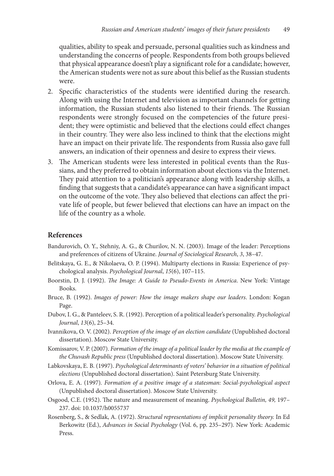qualities, ability to speak and persuade, personal qualities such as kindness and understanding the concerns of people. Respondents from both groups believed that physical appearance doesn't play a significant role for a candidate; however, the American students were not as sure about this belief as the Russian students were.

- 2. Specific characteristics of the students were identified during the research. Along with using the Internet and television as important channels for getting information, the Russian students also listened to their friends. The Russian respondents were strongly focused on the competencies of the future president; they were optimistic and believed that the elections could effect changes in their country. They were also less inclined to think that the elections might have an impact on their private life. The respondents from Russia also gave full answers, an indication of their openness and desire to express their views.
- 3. The American students were less interested in political events than the Russians, and they preferred to obtain information about elections via the Internet. They paid attention to a politician's appearance along with leadership skills, a finding that suggests that a candidate's appearance can have a significant impact on the outcome of the vote. They also believed that elections can affect the private life of people, but fewer believed that elections can have an impact on the life of the country as a whole.

### **References**

- Bandurovich, O. Y., Stehniy, A. G., & Churilov, N. N. (2003)*.* Image of the leader: Perceptions and preferences of citizens of Ukraine. *Journal of Sociological Research*, *3*, 38–47.
- Belitskaya, G. E., & Nikolaeva, O. P. (1994). Multiparty elections in Russia: Experience of psychological analysis. *Psychological Journal*, *15*(6), 107–115.
- Boorstin, D. J. (1992). *The Image: A Guide to Pseudo-Events in America*. New York: Vintage Books.
- Bruce, B. (1992). *Images of power: How the image makers shape our leaders*. London: Kogan Page.
- Dubov, I. G., & Panteleev, S. R. (1992). Perception of a political leader's personality. *Psychological Journal*, *13*(6), 25–34.
- Ivannikova, O. V. (2002). *Perception of the image of an election candidate* (Unpublished doctoral dissertation). Moscow State University.
- Komissarov, V. P. (2007). *Formation of the image of a political leader by the media at the example of the Chuvash Republic press* (Unpublished doctoral dissertation). Moscow State University.
- Labkovskaya, E. B. (1997). *Psychological determinants of voters' behavior in a situation of political elections* (Unpublished doctoral dissertation). Saint Petersburg State University.
- Orlova, E. A. (1997)*. Formation of a positive image of a statesman: Social-psychological aspect*  (Unpublished doctoral dissertation)*.* Moscow State University.
- Osgood, C.E. (1952). The nature and measurement of meaning. *Psychological Bulletin, 49,* 197– 237. doi: 10.1037/h0055737
- Rosenberg, S., & Sedlak, A. (1972). *Structural representations of implicit personality theory.* In Ed Berkowitz (Ed.), *Advances in Social Psychology* (Vol. 6, pp. 235–297)*.* New York: Academic Press.